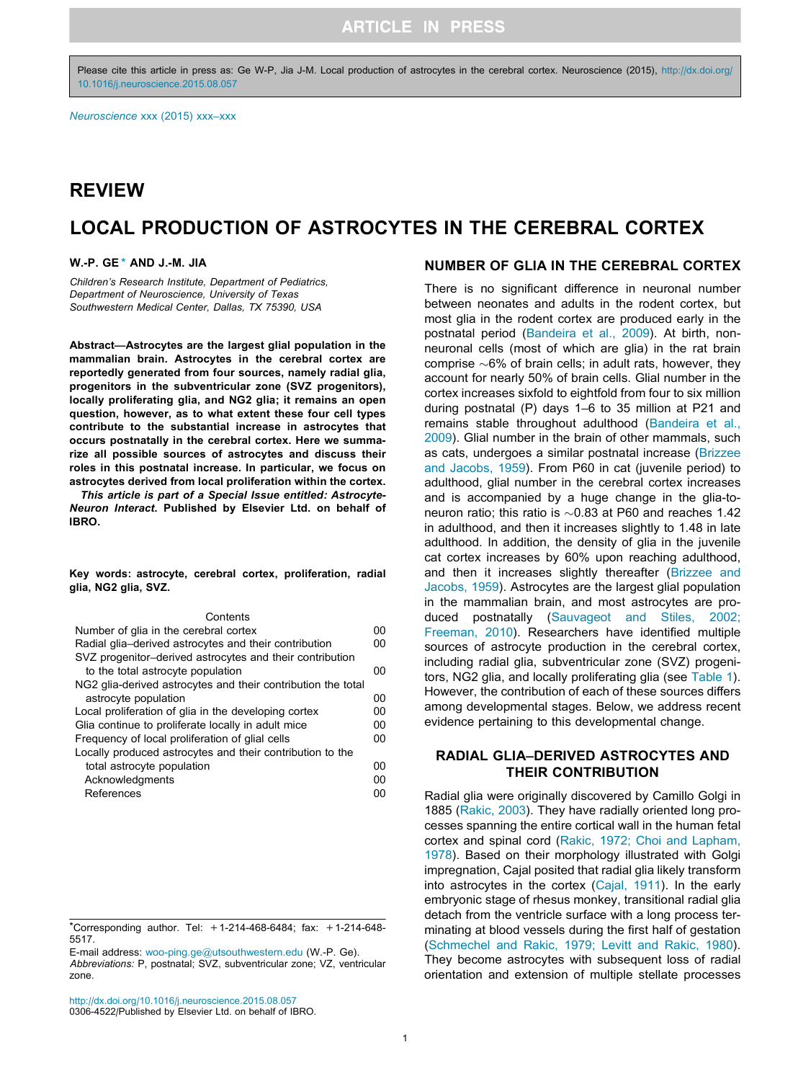Please cite this article in press as: Ge W-P, Jia J-M. Local production of astrocytes in the cerebral cortex. Neuroscience (2015), [http://dx.doi.org/](http://dx.doi.org/10.1016/j.neuroscience.2015.08.057) [10.1016/j.neuroscience.2015.08.057](http://dx.doi.org/10.1016/j.neuroscience.2015.08.057)

## REVIEW

# LOCAL PRODUCTION OF ASTROCYTES IN THE CEREBRAL CORTEX

#### W.-P. GE \* AND J.-M. JIA

Children's Research Institute, Department of Pediatrics, Department of Neuroscience, University of Texas Southwestern Medical Center, Dallas, TX 75390, USA

Abstract—Astrocytes are the largest glial population in the mammalian brain. Astrocytes in the cerebral cortex are reportedly generated from four sources, namely radial glia, progenitors in the subventricular zone (SVZ progenitors), locally proliferating glia, and NG2 glia; it remains an open question, however, as to what extent these four cell types contribute to the substantial increase in astrocytes that occurs postnatally in the cerebral cortex. Here we summarize all possible sources of astrocytes and discuss their roles in this postnatal increase. In particular, we focus on astrocytes derived from local proliferation within the cortex.

This article is part of a Special Issue entitled: Astrocyte-Neuron Interact. Published by Elsevier Ltd. on behalf of IBRO.

Key words: astrocyte, cerebral cortex, proliferation, radial glia, NG2 glia, SVZ.

#### **Contents**

| Number of glia in the cerebral cortex                        | 00 |
|--------------------------------------------------------------|----|
| Radial glia-derived astrocytes and their contribution        | 00 |
| SVZ progenitor-derived astrocytes and their contribution     |    |
| to the total astrocyte population                            | 00 |
| NG2 glia-derived astrocytes and their contribution the total |    |
| astrocyte population                                         | 00 |
| Local proliferation of glia in the developing cortex         | 00 |
| Glia continue to proliferate locally in adult mice           | 00 |
| Frequency of local proliferation of glial cells              | 00 |
| Locally produced astrocytes and their contribution to the    |    |
| total astrocyte population                                   | 00 |
| Acknowledgments                                              | 00 |
| References                                                   | 00 |

#### NUMBER OF GLIA IN THE CEREBRAL CORTEX

There is no significant difference in neuronal number between neonates and adults in the rodent cortex, but most glia in the rodent cortex are produced early in the postnatal period ([Bandeira et al., 2009](#page-4-0)). At birth, nonneuronal cells (most of which are glia) in the rat brain comprise  $\sim 6\%$  of brain cells; in adult rats, however, they account for nearly 50% of brain cells. Glial number in the cortex increases sixfold to eightfold from four to six million during postnatal (P) days 1–6 to 35 million at P21 and remains stable throughout adulthood [\(Bandeira et al.,](#page-4-0) [2009](#page-4-0)). Glial number in the brain of other mammals, such as cats, undergoes a similar postnatal increase ([Brizzee](#page-4-0) [and Jacobs, 1959](#page-4-0)). From P60 in cat (juvenile period) to adulthood, glial number in the cerebral cortex increases and is accompanied by a huge change in the glia-toneuron ratio; this ratio is  $\sim 0.83$  at P60 and reaches 1.42 in adulthood, and then it increases slightly to 1.48 in late adulthood. In addition, the density of glia in the juvenile cat cortex increases by 60% upon reaching adulthood, and then it increases slightly thereafter ([Brizzee and](#page-4-0) [Jacobs, 1959\)](#page-4-0). Astrocytes are the largest glial population in the mammalian brain, and most astrocytes are produced postnatally [\(Sauvageot and Stiles, 2002;](#page-6-0) [Freeman, 2010\)](#page-6-0). Researchers have identified multiple sources of astrocyte production in the cerebral cortex, including radial glia, subventricular zone (SVZ) progenitors, NG2 glia, and locally proliferating glia (see [Table 1\)](#page-1-0). However, the contribution of each of these sources differs among developmental stages. Below, we address recent evidence pertaining to this developmental change.

### RADIAL GLIA–DERIVED ASTROCYTES AND THEIR CONTRIBUTION

Radial glia were originally discovered by Camillo Golgi in 1885 ([Rakic, 2003](#page-6-0)). They have radially oriented long processes spanning the entire cortical wall in the human fetal cortex and spinal cord [\(Rakic, 1972; Choi and Lapham,](#page-6-0) [1978](#page-6-0)). Based on their morphology illustrated with Golgi impregnation, Cajal posited that radial glia likely transform into astrocytes in the cortex ([Cajal, 1911\)](#page-5-0). In the early embryonic stage of rhesus monkey, transitional radial glia detach from the ventricle surface with a long process terminating at blood vessels during the first half of gestation ([Schmechel and Rakic, 1979; Levitt and Rakic, 1980\)](#page-6-0). They become astrocytes with subsequent loss of radial orientation and extension of multiple stellate processes

<sup>\*</sup>Corresponding author. Tel: +1-214-468-6484; fax: +1-214-648- 5517.

E-mail address: [woo-ping.ge@utsouthwestern.edu](mailto:woo-ping.ge@utsouthwestern.edu) (W.-P. Ge).

Abbreviations: P, postnatal; SVZ, subventricular zone; VZ, ventricular zone.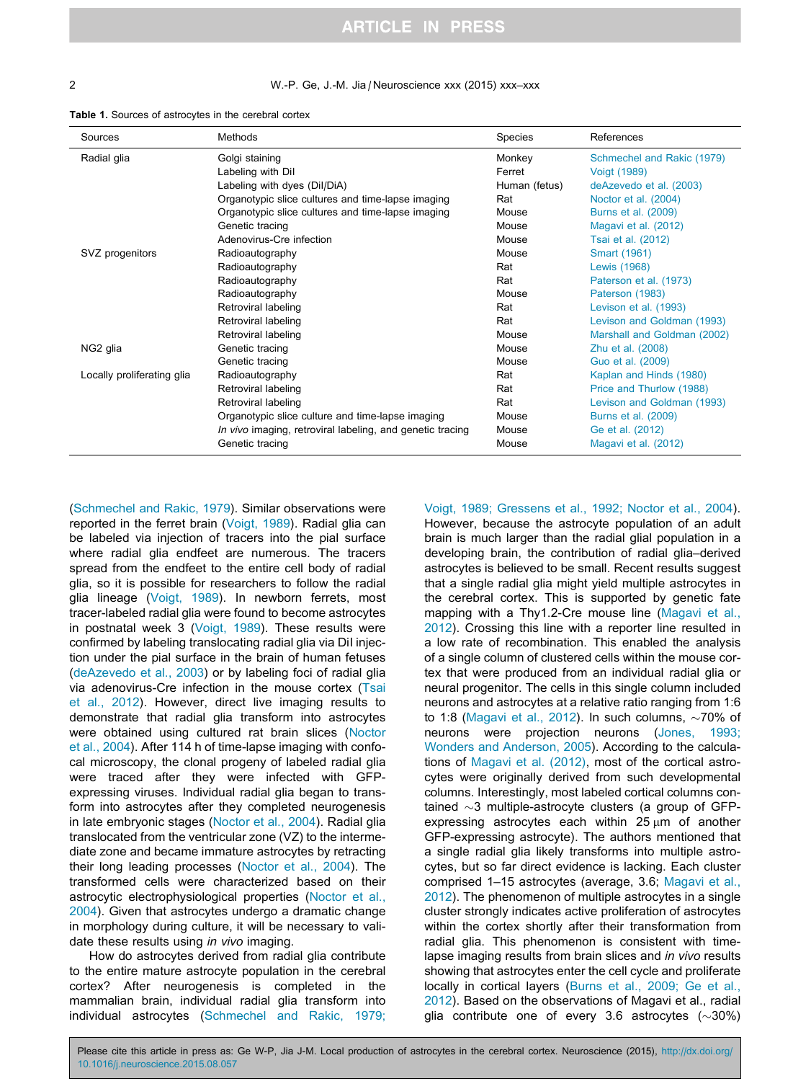#### <span id="page-1-0"></span>2 W.-P. Ge, J.-M. Jia / Neuroscience xxx (2015) xxx–xxx

| <b>Table 1.</b> Sources of astrocytes in the cerebral cortex |  |  |  |
|--------------------------------------------------------------|--|--|--|
|--------------------------------------------------------------|--|--|--|

| Sources                    | <b>Methods</b>                                            | Species       | References                  |
|----------------------------|-----------------------------------------------------------|---------------|-----------------------------|
| Radial glia                | Golgi staining                                            | Monkey        | Schmechel and Rakic (1979)  |
|                            | Labeling with Dil                                         | Ferret        | Voigt (1989)                |
|                            | Labeling with dyes (Dil/DiA)                              | Human (fetus) | deAzevedo et al. (2003)     |
|                            | Organotypic slice cultures and time-lapse imaging         | Rat           | Noctor et al. (2004)        |
|                            | Organotypic slice cultures and time-lapse imaging         | Mouse         | Burns et al. (2009)         |
|                            | Genetic tracing                                           | Mouse         | Magavi et al. (2012)        |
|                            | Adenovirus-Cre infection                                  | Mouse         | Tsai et al. (2012)          |
| SVZ progenitors            | Radioautography                                           | Mouse         | Smart (1961)                |
|                            | Radioautography                                           | Rat           | Lewis (1968)                |
|                            | Radioautography                                           | Rat           | Paterson et al. (1973)      |
|                            | Radioautography                                           | Mouse         | Paterson (1983)             |
|                            | Retroviral labeling                                       | Rat           | Levison et al. (1993)       |
|                            | Retroviral labeling                                       | Rat           | Levison and Goldman (1993)  |
|                            | Retroviral labeling                                       | Mouse         | Marshall and Goldman (2002) |
| NG2 glia                   | Genetic tracing                                           | Mouse         | Zhu et al. (2008)           |
|                            | Genetic tracing                                           | Mouse         | Guo et al. (2009)           |
| Locally proliferating glia | Radioautography                                           | Rat           | Kaplan and Hinds (1980)     |
|                            | Retroviral labeling                                       | Rat           | Price and Thurlow (1988)    |
|                            | Retroviral labeling                                       | Rat           | Levison and Goldman (1993)  |
|                            | Organotypic slice culture and time-lapse imaging          | Mouse         | Burns et al. (2009)         |
|                            | In vivo imaging, retroviral labeling, and genetic tracing | Mouse         | Ge et al. (2012)            |
|                            | Genetic tracing                                           | Mouse         | Magavi et al. (2012)        |

[\(Schmechel and Rakic, 1979](#page-6-0)). Similar observations were reported in the ferret brain [\(Voigt, 1989](#page-6-0)). Radial glia can be labeled via injection of tracers into the pial surface where radial glia endfeet are numerous. The tracers spread from the endfeet to the entire cell body of radial glia, so it is possible for researchers to follow the radial glia lineage ([Voigt, 1989\)](#page-6-0). In newborn ferrets, most tracer-labeled radial glia were found to become astrocytes in postnatal week 3 [\(Voigt, 1989\)](#page-6-0). These results were confirmed by labeling translocating radial glia via DiI injection under the pial surface in the brain of human fetuses [\(deAzevedo et al., 2003\)](#page-5-0) or by labeling foci of radial glia via adenovirus-Cre infection in the mouse cortex [\(Tsai](#page-6-0) [et al., 2012\)](#page-6-0). However, direct live imaging results to demonstrate that radial glia transform into astrocytes were obtained using cultured rat brain slices [\(Noctor](#page-5-0) [et al., 2004\)](#page-5-0). After 114 h of time-lapse imaging with confocal microscopy, the clonal progeny of labeled radial glia were traced after they were infected with GFPexpressing viruses. Individual radial glia began to transform into astrocytes after they completed neurogenesis in late embryonic stages [\(Noctor et al., 2004](#page-5-0)). Radial glia translocated from the ventricular zone (VZ) to the intermediate zone and became immature astrocytes by retracting their long leading processes ([Noctor et al., 2004\)](#page-5-0). The transformed cells were characterized based on their astrocytic electrophysiological properties [\(Noctor et al.,](#page-5-0) [2004](#page-5-0)). Given that astrocytes undergo a dramatic change in morphology during culture, it will be necessary to validate these results using in vivo imaging.

How do astrocytes derived from radial glia contribute to the entire mature astrocyte population in the cerebral cortex? After neurogenesis is completed in the mammalian brain, individual radial glia transform into individual astrocytes [\(Schmechel and Rakic, 1979;](#page-6-0)

[Voigt, 1989; Gressens et al., 1992; Noctor et al., 2004\)](#page-6-0). However, because the astrocyte population of an adult brain is much larger than the radial glial population in a developing brain, the contribution of radial glia–derived astrocytes is believed to be small. Recent results suggest that a single radial glia might yield multiple astrocytes in the cerebral cortex. This is supported by genetic fate mapping with a Thy1.2-Cre mouse line ([Magavi et al.,](#page-5-0) [2012](#page-5-0)). Crossing this line with a reporter line resulted in a low rate of recombination. This enabled the analysis of a single column of clustered cells within the mouse cortex that were produced from an individual radial glia or neural progenitor. The cells in this single column included neurons and astrocytes at a relative ratio ranging from 1:6 to 1:8 ([Magavi et al., 2012](#page-5-0)). In such columns,  $\sim$ 70% of neurons were projection neurons ([Jones, 1993;](#page-5-0) [Wonders and Anderson, 2005](#page-5-0)). According to the calculations of [Magavi et al. \(2012\)](#page-5-0), most of the cortical astrocytes were originally derived from such developmental columns. Interestingly, most labeled cortical columns contained  $\sim$ 3 multiple-astrocyte clusters (a group of GFPexpressing astrocytes each within  $25 \mu m$  of another GFP-expressing astrocyte). The authors mentioned that a single radial glia likely transforms into multiple astrocytes, but so far direct evidence is lacking. Each cluster comprised 1–15 astrocytes (average, 3.6; [Magavi et al.,](#page-5-0) [2012](#page-5-0)). The phenomenon of multiple astrocytes in a single cluster strongly indicates active proliferation of astrocytes within the cortex shortly after their transformation from radial glia. This phenomenon is consistent with timelapse imaging results from brain slices and in vivo results showing that astrocytes enter the cell cycle and proliferate locally in cortical layers ([Burns et al., 2009; Ge et al.,](#page-5-0) [2012](#page-5-0)). Based on the observations of Magavi et al., radial glia contribute one of every 3.6 astrocytes  $(\sim 30\%)$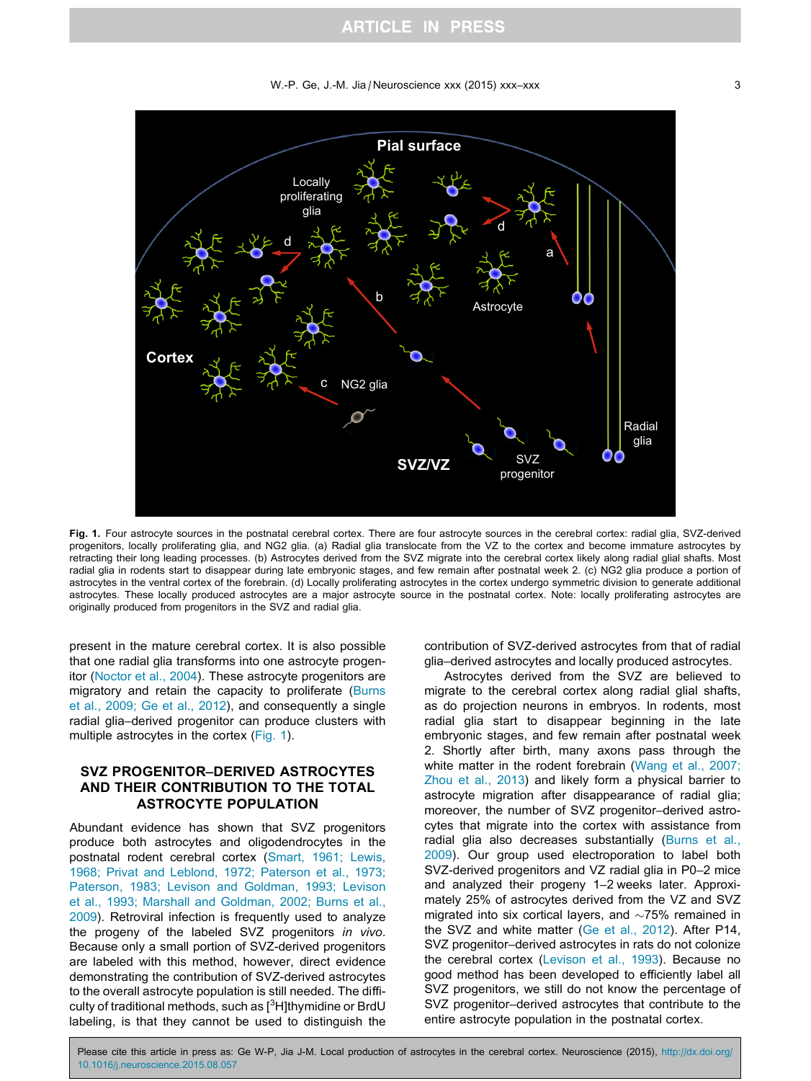## **ARTICLE IN PRESS**

#### W.-P. Ge, J.-M. Jia / Neuroscience xxx (2015) xxx–xxx 33

<span id="page-2-0"></span>

Fig. 1. Four astrocyte sources in the postnatal cerebral cortex. There are four astrocyte sources in the cerebral cortex: radial glia, SVZ-derived progenitors, locally proliferating glia, and NG2 glia. (a) Radial glia translocate from the VZ to the cortex and become immature astrocytes by retracting their long leading processes. (b) Astrocytes derived from the SVZ migrate into the cerebral cortex likely along radial glial shafts. Most radial glia in rodents start to disappear during late embryonic stages, and few remain after postnatal week 2. (c) NG2 glia produce a portion of astrocytes in the ventral cortex of the forebrain. (d) Locally proliferating astrocytes in the cortex undergo symmetric division to generate additional astrocytes. These locally produced astrocytes are a major astrocyte source in the postnatal cortex. Note: locally proliferating astrocytes are originally produced from progenitors in the SVZ and radial glia.

present in the mature cerebral cortex. It is also possible that one radial glia transforms into one astrocyte progenitor ([Noctor et al., 2004](#page-5-0)). These astrocyte progenitors are migratory and retain the capacity to proliferate [\(Burns](#page-5-0) [et al., 2009; Ge et al., 2012](#page-5-0)), and consequently a single radial glia–derived progenitor can produce clusters with multiple astrocytes in the cortex (Fig. 1).

## SVZ PROGENITOR–DERIVED ASTROCYTES AND THEIR CONTRIBUTION TO THE TOTAL ASTROCYTE POPULATION

Abundant evidence has shown that SVZ progenitors produce both astrocytes and oligodendrocytes in the postnatal rodent cerebral cortex ([Smart, 1961; Lewis,](#page-6-0) [1968; Privat and Leblond, 1972; Paterson et al., 1973;](#page-6-0) [Paterson, 1983; Levison and Goldman, 1993; Levison](#page-6-0) [et al., 1993; Marshall and Goldman, 2002; Burns et al.,](#page-6-0) [2009](#page-6-0)). Retroviral infection is frequently used to analyze the progeny of the labeled SVZ progenitors in vivo. Because only a small portion of SVZ-derived progenitors are labeled with this method, however, direct evidence demonstrating the contribution of SVZ-derived astrocytes to the overall astrocyte population is still needed. The difficulty of traditional methods, such as [<sup>3</sup>H]thymidine or BrdU labeling, is that they cannot be used to distinguish the

contribution of SVZ-derived astrocytes from that of radial glia–derived astrocytes and locally produced astrocytes.

Astrocytes derived from the SVZ are believed to migrate to the cerebral cortex along radial glial shafts, as do projection neurons in embryos. In rodents, most radial glia start to disappear beginning in the late embryonic stages, and few remain after postnatal week 2. Shortly after birth, many axons pass through the white matter in the rodent forebrain [\(Wang et al., 2007;](#page-6-0) [Zhou et al., 2013\)](#page-6-0) and likely form a physical barrier to astrocyte migration after disappearance of radial glia; moreover, the number of SVZ progenitor–derived astrocytes that migrate into the cortex with assistance from radial glia also decreases substantially [\(Burns et al.,](#page-5-0) [2009](#page-5-0)). Our group used electroporation to label both SVZ-derived progenitors and VZ radial glia in P0–2 mice and analyzed their progeny 1–2 weeks later. Approximately 25% of astrocytes derived from the VZ and SVZ migrated into six cortical layers, and  $\sim$ 75% remained in the SVZ and white matter ([Ge et al., 2012](#page-5-0)). After P14, SVZ progenitor–derived astrocytes in rats do not colonize the cerebral cortex ([Levison et al., 1993\)](#page-5-0). Because no good method has been developed to efficiently label all SVZ progenitors, we still do not know the percentage of SVZ progenitor–derived astrocytes that contribute to the entire astrocyte population in the postnatal cortex.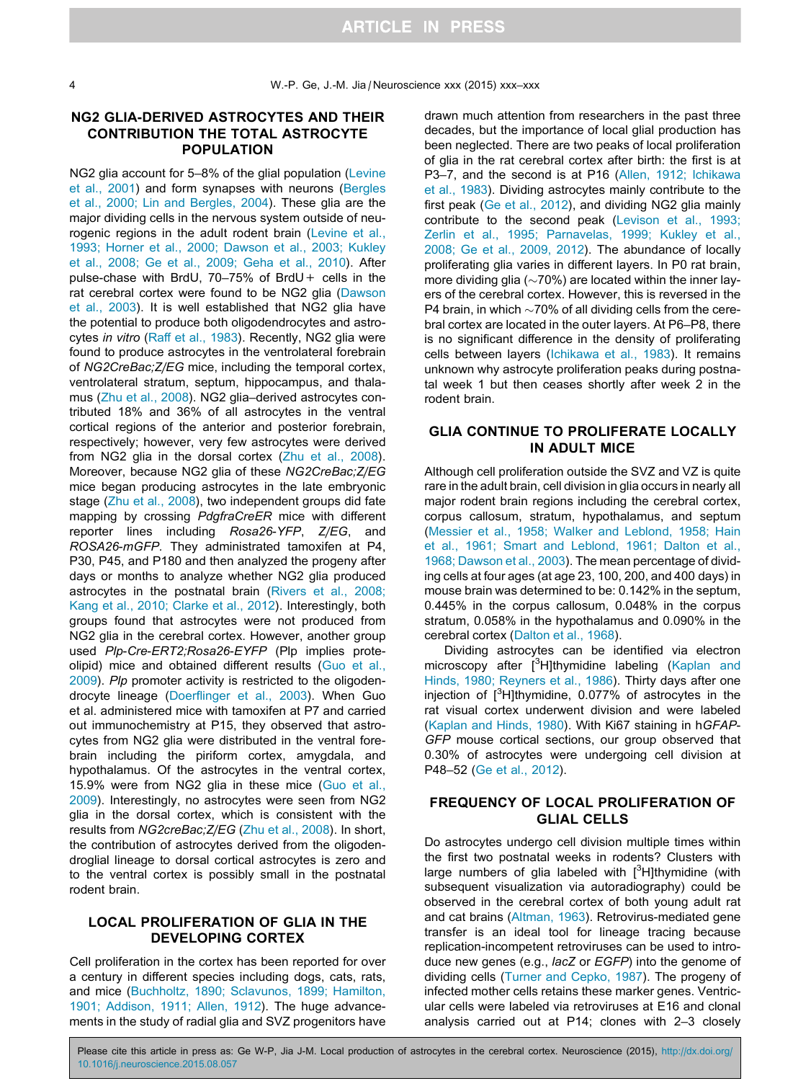### NG2 GLIA-DERIVED ASTROCYTES AND THEIR CONTRIBUTION THE TOTAL ASTROCYTE POPULATION

NG2 glia account for 5–8% of the glial population [\(Levine](#page-5-0) [et al., 2001\)](#page-5-0) and form synapses with neurons [\(Bergles](#page-4-0) [et al., 2000; Lin and Bergles, 2004](#page-4-0)). These glia are the major dividing cells in the nervous system outside of neu-rogenic regions in the adult rodent brain [\(Levine et al.,](#page-5-0) [1993; Horner et al., 2000; Dawson et al., 2003; Kukley](#page-5-0) [et al., 2008; Ge et al., 2009; Geha et al., 2010](#page-5-0)). After pulse-chase with BrdU, 70–75% of BrdU+ cells in the rat cerebral cortex were found to be NG2 glia [\(Dawson](#page-5-0) [et al., 2003](#page-5-0)). It is well established that NG2 glia have the potential to produce both oligodendrocytes and astrocytes in vitro ([Raff et al., 1983\)](#page-6-0). Recently, NG2 glia were found to produce astrocytes in the ventrolateral forebrain of NG2CreBac;Z/EG mice, including the temporal cortex, ventrolateral stratum, septum, hippocampus, and thalamus [\(Zhu et al., 2008\)](#page-6-0). NG2 glia–derived astrocytes contributed 18% and 36% of all astrocytes in the ventral cortical regions of the anterior and posterior forebrain, respectively; however, very few astrocytes were derived from NG2 glia in the dorsal cortex ([Zhu et al., 2008\)](#page-6-0). Moreover, because NG2 glia of these NG2CreBac;Z/EG mice began producing astrocytes in the late embryonic stage [\(Zhu et al., 2008\)](#page-6-0), two independent groups did fate mapping by crossing PdgfraCreER mice with different reporter lines including Rosa26-YFP, Z/EG, and ROSA26-mGFP. They administrated tamoxifen at P4, P30, P45, and P180 and then analyzed the progeny after days or months to analyze whether NG2 glia produced astrocytes in the postnatal brain [\(Rivers et al., 2008;](#page-6-0) [Kang et al., 2010; Clarke et al., 2012](#page-6-0)). Interestingly, both groups found that astrocytes were not produced from NG2 glia in the cerebral cortex. However, another group used Plp-Cre-ERT2;Rosa26-EYFP (Plp implies proteolipid) mice and obtained different results ([Guo et al.,](#page-5-0) [2009](#page-5-0)). Plp promoter activity is restricted to the oligodendrocyte lineage [\(Doerflinger et al., 2003\)](#page-5-0). When Guo et al. administered mice with tamoxifen at P7 and carried out immunochemistry at P15, they observed that astrocytes from NG2 glia were distributed in the ventral forebrain including the piriform cortex, amygdala, and hypothalamus. Of the astrocytes in the ventral cortex, 15.9% were from NG2 glia in these mice ([Guo et al.,](#page-5-0) [2009](#page-5-0)). Interestingly, no astrocytes were seen from NG2 glia in the dorsal cortex, which is consistent with the results from NG2creBac;Z/EG ([Zhu et al., 2008](#page-6-0)). In short, the contribution of astrocytes derived from the oligodendroglial lineage to dorsal cortical astrocytes is zero and to the ventral cortex is possibly small in the postnatal rodent brain.

### LOCAL PROLIFERATION OF GLIA IN THE DEVELOPING CORTEX

Cell proliferation in the cortex has been reported for over a century in different species including dogs, cats, rats, and mice [\(Buchholtz, 1890; Sclavunos, 1899; Hamilton,](#page-4-0) [1901; Addison, 1911; Allen, 1912\)](#page-4-0). The huge advancements in the study of radial glia and SVZ progenitors have

drawn much attention from researchers in the past three decades, but the importance of local glial production has been neglected. There are two peaks of local proliferation of glia in the rat cerebral cortex after birth: the first is at P3–7, and the second is at P16 ([Allen, 1912; Ichikawa](#page-4-0) [et al., 1983](#page-4-0)). Dividing astrocytes mainly contribute to the first peak ([Ge et al., 2012](#page-5-0)), and dividing NG2 glia mainly contribute to the second peak ([Levison et al., 1993;](#page-5-0) [Zerlin et al., 1995; Parnavelas, 1999; Kukley et al.,](#page-5-0) [2008; Ge et al., 2009, 2012](#page-5-0)). The abundance of locally proliferating glia varies in different layers. In P0 rat brain, more dividing glia ( $\sim$ 70%) are located within the inner layers of the cerebral cortex. However, this is reversed in the P4 brain, in which  $\sim$ 70% of all dividing cells from the cerebral cortex are located in the outer layers. At P6–P8, there is no significant difference in the density of proliferating cells between layers ([Ichikawa et al., 1983\)](#page-5-0). It remains unknown why astrocyte proliferation peaks during postnatal week 1 but then ceases shortly after week 2 in the rodent brain.

### GLIA CONTINUE TO PROLIFERATE LOCALLY IN ADULT MICE

Although cell proliferation outside the SVZ and VZ is quite rare in the adult brain, cell division in glia occurs in nearly all major rodent brain regions including the cerebral cortex, corpus callosum, stratum, hypothalamus, and septum ([Messier et al., 1958; Walker and Leblond, 1958; Hain](#page-5-0) [et al., 1961; Smart and Leblond, 1961; Dalton et al.,](#page-5-0) [1968; Dawson et al., 2003](#page-5-0)). The mean percentage of dividing cells at four ages (at age 23, 100, 200, and 400 days) in mouse brain was determined to be: 0.142% in the septum, 0.445% in the corpus callosum, 0.048% in the corpus stratum, 0.058% in the hypothalamus and 0.090% in the cerebral cortex ([Dalton et al., 1968\)](#page-5-0).

Dividing astrocytes can be identified via electron microscopy after [<sup>3</sup>H]thymidine labeling ([Kaplan and](#page-5-0) [Hinds, 1980; Reyners et al., 1986](#page-5-0)). Thirty days after one injection of [<sup>3</sup>H]thymidine, 0.077% of astrocytes in the rat visual cortex underwent division and were labeled ([Kaplan and Hinds, 1980](#page-5-0)). With Ki67 staining in hGFAP-GFP mouse cortical sections, our group observed that 0.30% of astrocytes were undergoing cell division at P48–52 [\(Ge et al., 2012\)](#page-5-0).

## FREQUENCY OF LOCAL PROLIFERATION OF GLIAL CELLS

Do astrocytes undergo cell division multiple times within the first two postnatal weeks in rodents? Clusters with large numbers of glia labeled with  $[3H]$ thymidine (with subsequent visualization via autoradiography) could be observed in the cerebral cortex of both young adult rat and cat brains ([Altman, 1963](#page-4-0)). Retrovirus-mediated gene transfer is an ideal tool for lineage tracing because replication-incompetent retroviruses can be used to introduce new genes (e.g., lacZ or EGFP) into the genome of dividing cells ([Turner and Cepko, 1987](#page-6-0)). The progeny of infected mother cells retains these marker genes. Ventricular cells were labeled via retroviruses at E16 and clonal analysis carried out at P14; clones with 2–3 closely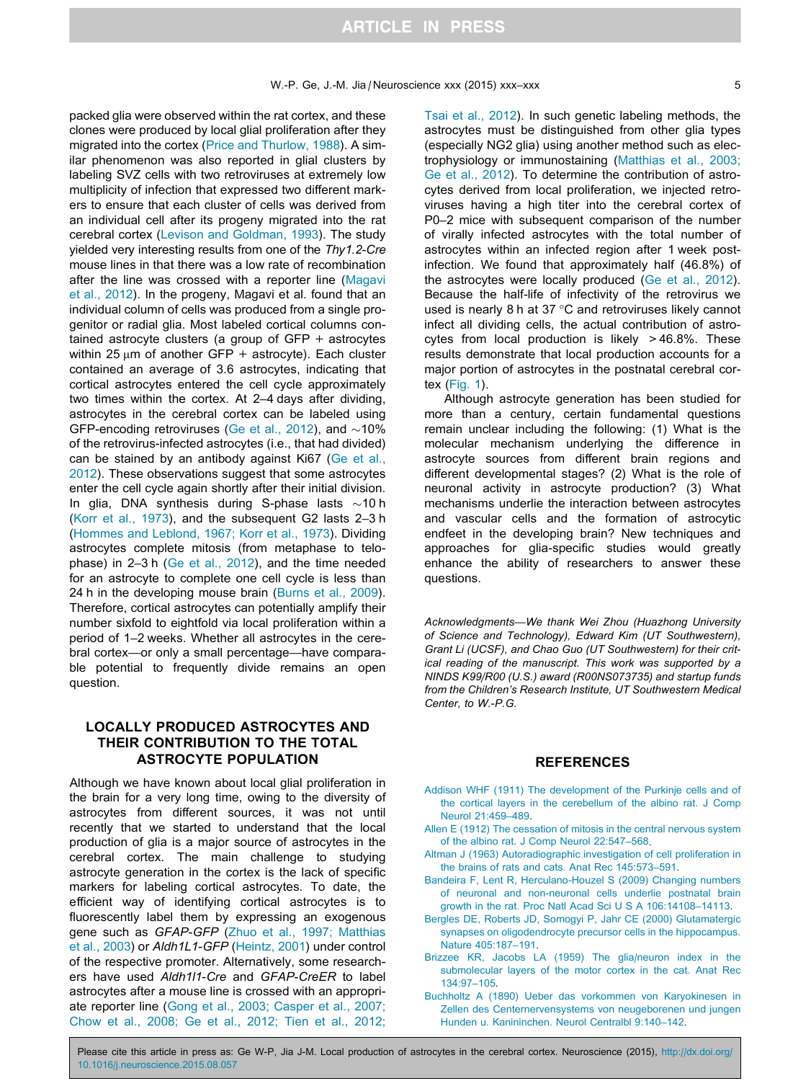<span id="page-4-0"></span>packed glia were observed within the rat cortex, and these clones were produced by local glial proliferation after they migrated into the cortex [\(Price and Thurlow, 1988\)](#page-5-0). A similar phenomenon was also reported in glial clusters by labeling SVZ cells with two retroviruses at extremely low multiplicity of infection that expressed two different markers to ensure that each cluster of cells was derived from an individual cell after its progeny migrated into the rat cerebral cortex [\(Levison and Goldman, 1993](#page-5-0)). The study yielded very interesting results from one of the Thy1.2-Cre mouse lines in that there was a low rate of recombination after the line was crossed with a reporter line ([Magavi](#page-5-0) [et al., 2012\)](#page-5-0). In the progeny, Magavi et al. found that an individual column of cells was produced from a single progenitor or radial glia. Most labeled cortical columns contained astrocyte clusters (a group of  $GFP +$  astrocytes within 25  $\mu$ m of another GFP + astrocyte). Each cluster contained an average of 3.6 astrocytes, indicating that cortical astrocytes entered the cell cycle approximately two times within the cortex. At 2–4 days after dividing, astrocytes in the cerebral cortex can be labeled using GFP-encoding retroviruses ([Ge et al., 2012](#page-5-0)), and  $\sim$ 10% of the retrovirus-infected astrocytes (i.e., that had divided) can be stained by an antibody against Ki67 [\(Ge et al.,](#page-5-0) [2012](#page-5-0)). These observations suggest that some astrocytes enter the cell cycle again shortly after their initial division. In glia, DNA synthesis during S-phase lasts  $\sim$ 10 h [\(Korr et al., 1973](#page-5-0)), and the subsequent G2 lasts 2–3 h [\(Hommes and Leblond, 1967; Korr et al., 1973](#page-5-0)). Dividing astrocytes complete mitosis (from metaphase to telophase) in 2–3 h [\(Ge et al., 2012\)](#page-5-0), and the time needed for an astrocyte to complete one cell cycle is less than 24 h in the developing mouse brain ([Burns et al., 2009\)](#page-5-0). Therefore, cortical astrocytes can potentially amplify their number sixfold to eightfold via local proliferation within a period of 1–2 weeks. Whether all astrocytes in the cerebral cortex—or only a small percentage—have comparable potential to frequently divide remains an open question.

### LOCALLY PRODUCED ASTROCYTES AND THEIR CONTRIBUTION TO THE TOTAL ASTROCYTE POPULATION

Although we have known about local glial proliferation in the brain for a very long time, owing to the diversity of astrocytes from different sources, it was not until recently that we started to understand that the local production of glia is a major source of astrocytes in the cerebral cortex. The main challenge to studying astrocyte generation in the cortex is the lack of specific markers for labeling cortical astrocytes. To date, the efficient way of identifying cortical astrocytes is to fluorescently label them by expressing an exogenous gene such as GFAP-GFP ([Zhuo et al., 1997; Matthias](#page-6-0) [et al., 2003](#page-6-0)) or Aldh1L1-GFP [\(Heintz, 2001\)](#page-5-0) under control of the respective promoter. Alternatively, some researchers have used Aldh1l1-Cre and GFAP-CreER to label astrocytes after a mouse line is crossed with an appropriate reporter line ([Gong et al., 2003; Casper et al., 2007;](#page-5-0) [Chow et al., 2008; Ge et al., 2012; Tien et al., 2012;](#page-5-0)

[Tsai et al., 2012\)](#page-5-0). In such genetic labeling methods, the astrocytes must be distinguished from other glia types (especially NG2 glia) using another method such as electrophysiology or immunostaining ([Matthias et al., 2003;](#page-5-0) [Ge et al., 2012\)](#page-5-0). To determine the contribution of astrocytes derived from local proliferation, we injected retroviruses having a high titer into the cerebral cortex of P0–2 mice with subsequent comparison of the number of virally infected astrocytes with the total number of astrocytes within an infected region after 1 week postinfection. We found that approximately half (46.8%) of the astrocytes were locally produced ([Ge et al., 2012\)](#page-5-0). Because the half-life of infectivity of the retrovirus we used is nearly 8 h at 37 $\degree$ C and retroviruses likely cannot infect all dividing cells, the actual contribution of astrocytes from local production is likely  $>46.8\%$ . These results demonstrate that local production accounts for a major portion of astrocytes in the postnatal cerebral cor-

tex [\(Fig. 1\)](#page-2-0). Although astrocyte generation has been studied for more than a century, certain fundamental questions remain unclear including the following: (1) What is the molecular mechanism underlying the difference in astrocyte sources from different brain regions and different developmental stages? (2) What is the role of neuronal activity in astrocyte production? (3) What mechanisms underlie the interaction between astrocytes and vascular cells and the formation of astrocytic endfeet in the developing brain? New techniques and approaches for glia-specific studies would greatly enhance the ability of researchers to answer these questions.

Acknowledgments—We thank Wei Zhou (Huazhong University of Science and Technology), Edward Kim (UT Southwestern), Grant Li (UCSF), and Chao Guo (UT Southwestern) for their critical reading of the manuscript. This work was supported by a NINDS K99/R00 (U.S.) award (R00NS073735) and startup funds from the Children's Research Institute, UT Southwestern Medical Center, to W.-P.G.

#### REFERENCES

- [Addison WHF \(1911\) The development of the Purkinje cells and of](http://refhub.elsevier.com/S0306-4522(15)00789-7/h0005) [the cortical layers in the cerebellum of the albino rat. J Comp](http://refhub.elsevier.com/S0306-4522(15)00789-7/h0005) [Neurol 21:459–489.](http://refhub.elsevier.com/S0306-4522(15)00789-7/h0005)
- [Allen E \(1912\) The cessation of mitosis in the central nervous system](http://refhub.elsevier.com/S0306-4522(15)00789-7/h0010) [of the albino rat. J Comp Neurol 22:547–568.](http://refhub.elsevier.com/S0306-4522(15)00789-7/h0010)
- [Altman J \(1963\) Autoradiographic investigation of cell proliferation in](http://refhub.elsevier.com/S0306-4522(15)00789-7/h0015) [the brains of rats and cats. Anat Rec 145:573–591](http://refhub.elsevier.com/S0306-4522(15)00789-7/h0015).
- [Bandeira F, Lent R, Herculano-Houzel S \(2009\) Changing numbers](http://refhub.elsevier.com/S0306-4522(15)00789-7/h0020) [of neuronal and non-neuronal cells underlie postnatal brain](http://refhub.elsevier.com/S0306-4522(15)00789-7/h0020) [growth in the rat. Proc Natl Acad Sci U S A 106:14108–14113](http://refhub.elsevier.com/S0306-4522(15)00789-7/h0020).
- [Bergles DE, Roberts JD, Somogyi P, Jahr CE \(2000\) Glutamatergic](http://refhub.elsevier.com/S0306-4522(15)00789-7/h0025) [synapses on oligodendrocyte precursor cells in the hippocampus.](http://refhub.elsevier.com/S0306-4522(15)00789-7/h0025) [Nature 405:187–191.](http://refhub.elsevier.com/S0306-4522(15)00789-7/h0025)
- [Brizzee KR, Jacobs LA \(1959\) The glia/neuron index in the](http://refhub.elsevier.com/S0306-4522(15)00789-7/h0030) [submolecular layers of the motor cortex in the cat. Anat Rec](http://refhub.elsevier.com/S0306-4522(15)00789-7/h0030) [134:97–105](http://refhub.elsevier.com/S0306-4522(15)00789-7/h0030).
- [Buchholtz A \(1890\) Ueber das vorkommen von Karyokinesen in](http://refhub.elsevier.com/S0306-4522(15)00789-7/h0035) [Zellen des Centernervensystems von neugeborenen und jungen](http://refhub.elsevier.com/S0306-4522(15)00789-7/h0035) [Hunden u. Kanininchen. Neurol Centralbl 9:140–142](http://refhub.elsevier.com/S0306-4522(15)00789-7/h0035).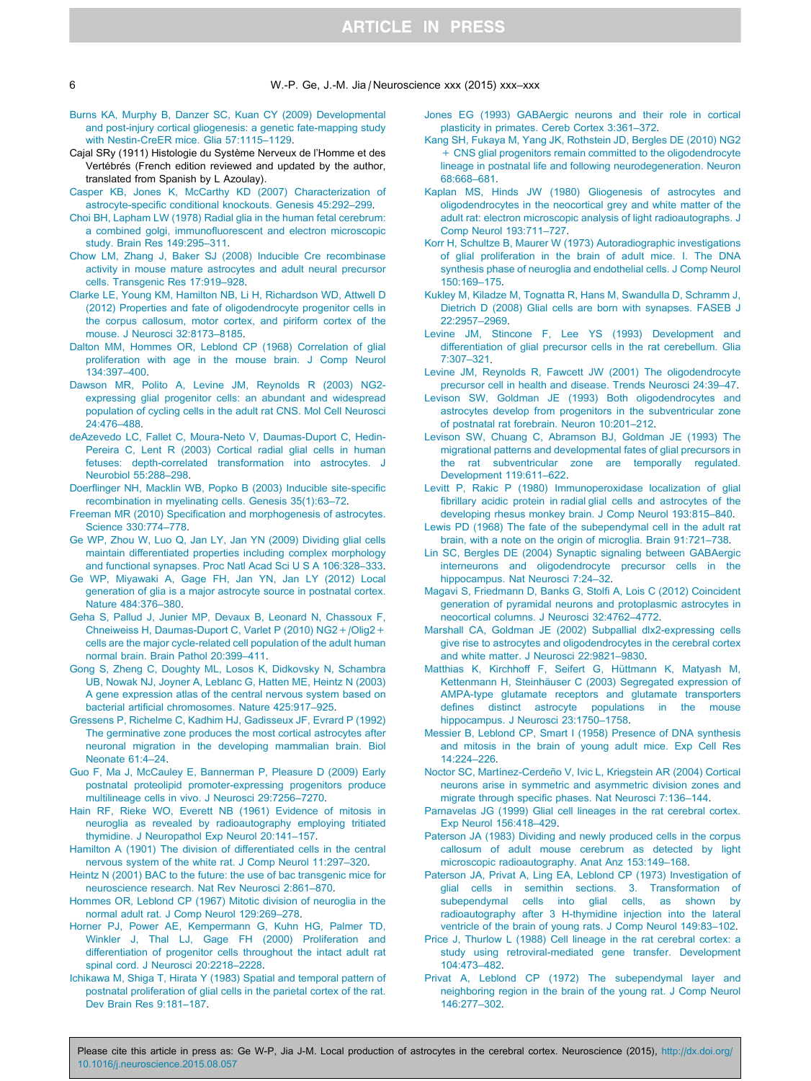## **ARTICLE IN PRESS**

<span id="page-5-0"></span>6 W.-P. Ge, J.-M. Jia / Neuroscience xxx (2015) xxx–xxx

- [Burns KA, Murphy B, Danzer SC, Kuan CY \(2009\) Developmental](http://refhub.elsevier.com/S0306-4522(15)00789-7/h0040) [and post-injury cortical gliogenesis: a genetic fate-mapping study](http://refhub.elsevier.com/S0306-4522(15)00789-7/h0040) [with Nestin-CreER mice. Glia 57:1115–1129](http://refhub.elsevier.com/S0306-4522(15)00789-7/h0040).
- Cajal SRy (1911) Histologie du Système Nerveux de l'Homme et des Vertébrés (French edition reviewed and updated by the author, translated from Spanish by L Azoulay).
- [Casper KB, Jones K, McCarthy KD \(2007\) Characterization of](http://refhub.elsevier.com/S0306-4522(15)00789-7/h0050) [astrocyte-specific conditional knockouts. Genesis 45:292–299](http://refhub.elsevier.com/S0306-4522(15)00789-7/h0050).
- [Choi BH, Lapham LW \(1978\) Radial glia in the human fetal cerebrum:](http://refhub.elsevier.com/S0306-4522(15)00789-7/h0055) [a combined golgi, immunofluorescent and electron microscopic](http://refhub.elsevier.com/S0306-4522(15)00789-7/h0055) [study. Brain Res 149:295–311.](http://refhub.elsevier.com/S0306-4522(15)00789-7/h0055)
- [Chow LM, Zhang J, Baker SJ \(2008\) Inducible Cre recombinase](http://refhub.elsevier.com/S0306-4522(15)00789-7/h0060) [activity in mouse mature astrocytes and adult neural precursor](http://refhub.elsevier.com/S0306-4522(15)00789-7/h0060) [cells. Transgenic Res 17:919–928.](http://refhub.elsevier.com/S0306-4522(15)00789-7/h0060)
- [Clarke LE, Young KM, Hamilton NB, Li H, Richardson WD, Attwell D](http://refhub.elsevier.com/S0306-4522(15)00789-7/h0065) [\(2012\) Properties and fate of oligodendrocyte progenitor cells in](http://refhub.elsevier.com/S0306-4522(15)00789-7/h0065) [the corpus callosum, motor cortex, and piriform cortex of the](http://refhub.elsevier.com/S0306-4522(15)00789-7/h0065) [mouse. J Neurosci 32:8173–8185](http://refhub.elsevier.com/S0306-4522(15)00789-7/h0065).
- [Dalton MM, Hommes OR, Leblond CP \(1968\) Correlation of glial](http://refhub.elsevier.com/S0306-4522(15)00789-7/h0070) [proliferation with age in the mouse brain. J Comp Neurol](http://refhub.elsevier.com/S0306-4522(15)00789-7/h0070) [134:397–400](http://refhub.elsevier.com/S0306-4522(15)00789-7/h0070).
- [Dawson MR, Polito A, Levine JM, Reynolds R \(2003\) NG2](http://refhub.elsevier.com/S0306-4522(15)00789-7/h0075) [expressing glial progenitor cells: an abundant and widespread](http://refhub.elsevier.com/S0306-4522(15)00789-7/h0075) [population of cycling cells in the adult rat CNS. Mol Cell Neurosci](http://refhub.elsevier.com/S0306-4522(15)00789-7/h0075) [24:476–488](http://refhub.elsevier.com/S0306-4522(15)00789-7/h0075).
- [deAzevedo LC, Fallet C, Moura-Neto V, Daumas-Duport C, Hedin-](http://refhub.elsevier.com/S0306-4522(15)00789-7/h0080)[Pereira C, Lent R \(2003\) Cortical radial glial cells in human](http://refhub.elsevier.com/S0306-4522(15)00789-7/h0080) [fetuses: depth-correlated transformation into astrocytes. J](http://refhub.elsevier.com/S0306-4522(15)00789-7/h0080) [Neurobiol 55:288–298](http://refhub.elsevier.com/S0306-4522(15)00789-7/h0080).
- [Doerflinger NH, Macklin WB, Popko B \(2003\) Inducible site-specific](http://refhub.elsevier.com/S0306-4522(15)00789-7/h0085) [recombination in myelinating cells. Genesis 35\(1\):63–72](http://refhub.elsevier.com/S0306-4522(15)00789-7/h0085).
- [Freeman MR \(2010\) Specification and morphogenesis of astrocytes.](http://refhub.elsevier.com/S0306-4522(15)00789-7/h0090) [Science 330:774–778](http://refhub.elsevier.com/S0306-4522(15)00789-7/h0090).
- [Ge WP, Zhou W, Luo Q, Jan LY, Jan YN \(2009\) Dividing glial cells](http://refhub.elsevier.com/S0306-4522(15)00789-7/h0095) [maintain differentiated properties including complex morphology](http://refhub.elsevier.com/S0306-4522(15)00789-7/h0095) [and functional synapses. Proc Natl Acad Sci U S A 106:328–333](http://refhub.elsevier.com/S0306-4522(15)00789-7/h0095).
- [Ge WP, Miyawaki A, Gage FH, Jan YN, Jan LY \(2012\) Local](http://refhub.elsevier.com/S0306-4522(15)00789-7/h0100) [generation of glia is a major astrocyte source in postnatal cortex.](http://refhub.elsevier.com/S0306-4522(15)00789-7/h0100) [Nature 484:376–380.](http://refhub.elsevier.com/S0306-4522(15)00789-7/h0100)
- [Geha S, Pallud J, Junier MP, Devaux B, Leonard N, Chassoux F,](http://refhub.elsevier.com/S0306-4522(15)00789-7/h0105) [Chneiweiss H, Daumas-Duport C, Varlet P \(2010\) NG2+/Olig2+](http://refhub.elsevier.com/S0306-4522(15)00789-7/h0105) [cells are the major cycle-related cell population of the adult human](http://refhub.elsevier.com/S0306-4522(15)00789-7/h0105) [normal brain. Brain Pathol 20:399–411](http://refhub.elsevier.com/S0306-4522(15)00789-7/h0105).
- [Gong S, Zheng C, Doughty ML, Losos K, Didkovsky N, Schambra](http://refhub.elsevier.com/S0306-4522(15)00789-7/h0110) [UB, Nowak NJ, Joyner A, Leblanc G, Hatten ME, Heintz N \(2003\)](http://refhub.elsevier.com/S0306-4522(15)00789-7/h0110) [A gene expression atlas of the central nervous system based on](http://refhub.elsevier.com/S0306-4522(15)00789-7/h0110) [bacterial artificial chromosomes. Nature 425:917–925](http://refhub.elsevier.com/S0306-4522(15)00789-7/h0110).
- [Gressens P, Richelme C, Kadhim HJ, Gadisseux JF, Evrard P \(1992\)](http://refhub.elsevier.com/S0306-4522(15)00789-7/h0115) [The germinative zone produces the most cortical astrocytes after](http://refhub.elsevier.com/S0306-4522(15)00789-7/h0115) [neuronal migration in the developing mammalian brain. Biol](http://refhub.elsevier.com/S0306-4522(15)00789-7/h0115) [Neonate 61:4–24.](http://refhub.elsevier.com/S0306-4522(15)00789-7/h0115)
- [Guo F, Ma J, McCauley E, Bannerman P, Pleasure D \(2009\) Early](http://refhub.elsevier.com/S0306-4522(15)00789-7/h0120) [postnatal proteolipid promoter-expressing progenitors produce](http://refhub.elsevier.com/S0306-4522(15)00789-7/h0120) [multilineage cells in vivo. J Neurosci 29:7256–7270](http://refhub.elsevier.com/S0306-4522(15)00789-7/h0120).
- [Hain RF, Rieke WO, Everett NB \(1961\) Evidence of mitosis in](http://refhub.elsevier.com/S0306-4522(15)00789-7/h0125) [neuroglia as revealed by radioautography employing tritiated](http://refhub.elsevier.com/S0306-4522(15)00789-7/h0125) [thymidine. J Neuropathol Exp Neurol 20:141–157.](http://refhub.elsevier.com/S0306-4522(15)00789-7/h0125)
- [Hamilton A \(1901\) The division of differentiated cells in the central](http://refhub.elsevier.com/S0306-4522(15)00789-7/h0130) [nervous system of the white rat. J Comp Neurol 11:297–320.](http://refhub.elsevier.com/S0306-4522(15)00789-7/h0130)
- [Heintz N \(2001\) BAC to the future: the use of bac transgenic mice for](http://refhub.elsevier.com/S0306-4522(15)00789-7/h0135) [neuroscience research. Nat Rev Neurosci 2:861–870](http://refhub.elsevier.com/S0306-4522(15)00789-7/h0135).
- [Hommes OR, Leblond CP \(1967\) Mitotic division of neuroglia in the](http://refhub.elsevier.com/S0306-4522(15)00789-7/h0140) [normal adult rat. J Comp Neurol 129:269–278](http://refhub.elsevier.com/S0306-4522(15)00789-7/h0140).
- [Horner PJ, Power AE, Kempermann G, Kuhn HG, Palmer TD,](http://refhub.elsevier.com/S0306-4522(15)00789-7/h0145) [Winkler J, Thal LJ, Gage FH \(2000\) Proliferation and](http://refhub.elsevier.com/S0306-4522(15)00789-7/h0145) [differentiation of progenitor cells throughout the intact adult rat](http://refhub.elsevier.com/S0306-4522(15)00789-7/h0145) [spinal cord. J Neurosci 20:2218–2228.](http://refhub.elsevier.com/S0306-4522(15)00789-7/h0145)
- [Ichikawa M, Shiga T, Hirata Y \(1983\) Spatial and temporal pattern of](http://refhub.elsevier.com/S0306-4522(15)00789-7/h0150) [postnatal proliferation of glial cells in the parietal cortex of the rat.](http://refhub.elsevier.com/S0306-4522(15)00789-7/h0150) [Dev Brain Res 9:181–187](http://refhub.elsevier.com/S0306-4522(15)00789-7/h0150).
- [Jones EG \(1993\) GABAergic neurons and their role in cortical](http://refhub.elsevier.com/S0306-4522(15)00789-7/h0155) [plasticity in primates. Cereb Cortex 3:361–372](http://refhub.elsevier.com/S0306-4522(15)00789-7/h0155).
- [Kang SH, Fukaya M, Yang JK, Rothstein JD, Bergles DE \(2010\) NG2](http://refhub.elsevier.com/S0306-4522(15)00789-7/h0160) [+ CNS glial progenitors remain committed to the oligodendrocyte](http://refhub.elsevier.com/S0306-4522(15)00789-7/h0160) [lineage in postnatal life and following neurodegeneration. Neuron](http://refhub.elsevier.com/S0306-4522(15)00789-7/h0160) [68:668–681](http://refhub.elsevier.com/S0306-4522(15)00789-7/h0160).
- [Kaplan MS, Hinds JW \(1980\) Gliogenesis of astrocytes and](http://refhub.elsevier.com/S0306-4522(15)00789-7/h0165) [oligodendrocytes in the neocortical grey and white matter of the](http://refhub.elsevier.com/S0306-4522(15)00789-7/h0165) [adult rat: electron microscopic analysis of light radioautographs. J](http://refhub.elsevier.com/S0306-4522(15)00789-7/h0165) [Comp Neurol 193:711–727](http://refhub.elsevier.com/S0306-4522(15)00789-7/h0165).
- [Korr H, Schultze B, Maurer W \(1973\) Autoradiographic investigations](http://refhub.elsevier.com/S0306-4522(15)00789-7/h0170) [of glial proliferation in the brain of adult mice. I. The DNA](http://refhub.elsevier.com/S0306-4522(15)00789-7/h0170) [synthesis phase of neuroglia and endothelial cells. J Comp Neurol](http://refhub.elsevier.com/S0306-4522(15)00789-7/h0170) [150:169–175](http://refhub.elsevier.com/S0306-4522(15)00789-7/h0170).
- [Kukley M, Kiladze M, Tognatta R, Hans M, Swandulla D, Schramm J,](http://refhub.elsevier.com/S0306-4522(15)00789-7/h0175) [Dietrich D \(2008\) Glial cells are born with synapses. FASEB J](http://refhub.elsevier.com/S0306-4522(15)00789-7/h0175) [22:2957–2969.](http://refhub.elsevier.com/S0306-4522(15)00789-7/h0175)
- [Levine JM, Stincone F, Lee YS \(1993\) Development and](http://refhub.elsevier.com/S0306-4522(15)00789-7/h0180) [differentiation of glial precursor cells in the rat cerebellum. Glia](http://refhub.elsevier.com/S0306-4522(15)00789-7/h0180) [7:307–321.](http://refhub.elsevier.com/S0306-4522(15)00789-7/h0180)
- [Levine JM, Reynolds R, Fawcett JW \(2001\) The oligodendrocyte](http://refhub.elsevier.com/S0306-4522(15)00789-7/h0185) [precursor cell in health and disease. Trends Neurosci 24:39–47](http://refhub.elsevier.com/S0306-4522(15)00789-7/h0185).
- [Levison SW, Goldman JE \(1993\) Both oligodendrocytes and](http://refhub.elsevier.com/S0306-4522(15)00789-7/h0190) [astrocytes develop from progenitors in the subventricular zone](http://refhub.elsevier.com/S0306-4522(15)00789-7/h0190) [of postnatal rat forebrain. Neuron 10:201–212](http://refhub.elsevier.com/S0306-4522(15)00789-7/h0190).
- [Levison SW, Chuang C, Abramson BJ, Goldman JE \(1993\) The](http://refhub.elsevier.com/S0306-4522(15)00789-7/h0195) [migrational patterns and developmental fates of glial precursors in](http://refhub.elsevier.com/S0306-4522(15)00789-7/h0195) [the rat subventricular zone are temporally regulated.](http://refhub.elsevier.com/S0306-4522(15)00789-7/h0195) [Development 119:611–622.](http://refhub.elsevier.com/S0306-4522(15)00789-7/h0195)
- [Levitt P, Rakic P \(1980\) Immunoperoxidase localization of glial](http://refhub.elsevier.com/S0306-4522(15)00789-7/h0200) [fibrillary acidic protein in radial glial cells and astrocytes of the](http://refhub.elsevier.com/S0306-4522(15)00789-7/h0200) [developing rhesus monkey brain. J Comp Neurol 193:815–840](http://refhub.elsevier.com/S0306-4522(15)00789-7/h0200).
- [Lewis PD \(1968\) The fate of the subependymal cell in the adult rat](http://refhub.elsevier.com/S0306-4522(15)00789-7/h0205) [brain, with a note on the origin of microglia. Brain 91:721–738](http://refhub.elsevier.com/S0306-4522(15)00789-7/h0205).
- [Lin SC, Bergles DE \(2004\) Synaptic signaling between GABAergic](http://refhub.elsevier.com/S0306-4522(15)00789-7/h0210) [interneurons and oligodendrocyte precursor cells in the](http://refhub.elsevier.com/S0306-4522(15)00789-7/h0210) [hippocampus. Nat Neurosci 7:24–32](http://refhub.elsevier.com/S0306-4522(15)00789-7/h0210).
- [Magavi S, Friedmann D, Banks G, Stolfi A, Lois C \(2012\) Coincident](http://refhub.elsevier.com/S0306-4522(15)00789-7/h0215) [generation of pyramidal neurons and protoplasmic astrocytes in](http://refhub.elsevier.com/S0306-4522(15)00789-7/h0215) [neocortical columns. J Neurosci 32:4762–4772.](http://refhub.elsevier.com/S0306-4522(15)00789-7/h0215)
- [Marshall CA, Goldman JE \(2002\) Subpallial dlx2-expressing cells](http://refhub.elsevier.com/S0306-4522(15)00789-7/h0220) [give rise to astrocytes and oligodendrocytes in the cerebral cortex](http://refhub.elsevier.com/S0306-4522(15)00789-7/h0220) [and white matter. J Neurosci 22:9821–9830](http://refhub.elsevier.com/S0306-4522(15)00789-7/h0220).
- Matthias K, Kirchhoff F, Seifert G, Hüttmann K, Matyash M, Kettenmann H, Steinhäuser C (2003) Segregated expression of [AMPA-type glutamate receptors and glutamate transporters](http://refhub.elsevier.com/S0306-4522(15)00789-7/h0225) [defines distinct astrocyte populations in the mouse](http://refhub.elsevier.com/S0306-4522(15)00789-7/h0225) hippocampus. J Neurosci 23:1750-1758.
- [Messier B, Leblond CP, Smart I \(1958\) Presence of DNA synthesis](http://refhub.elsevier.com/S0306-4522(15)00789-7/h0230) [and mitosis in the brain of young adult mice. Exp Cell Res](http://refhub.elsevier.com/S0306-4522(15)00789-7/h0230) [14:224–226](http://refhub.elsevier.com/S0306-4522(15)00789-7/h0230).
- Noctor SC, Martínez-Cerdeño V, Ivic L, Kriegstein AR (2004) Cortical [neurons arise in symmetric and asymmetric division zones and](http://refhub.elsevier.com/S0306-4522(15)00789-7/h0235) [migrate through specific phases. Nat Neurosci 7:136–144](http://refhub.elsevier.com/S0306-4522(15)00789-7/h0235).
- [Parnavelas JG \(1999\) Glial cell lineages in the rat cerebral cortex.](http://refhub.elsevier.com/S0306-4522(15)00789-7/h0240) [Exp Neurol 156:418–429.](http://refhub.elsevier.com/S0306-4522(15)00789-7/h0240)
- [Paterson JA \(1983\) Dividing and newly produced cells in the corpus](http://refhub.elsevier.com/S0306-4522(15)00789-7/h0245) [callosum of adult mouse cerebrum as detected by light](http://refhub.elsevier.com/S0306-4522(15)00789-7/h0245) [microscopic radioautography. Anat Anz 153:149–168.](http://refhub.elsevier.com/S0306-4522(15)00789-7/h0245)
- [Paterson JA, Privat A, Ling EA, Leblond CP \(1973\) Investigation of](http://refhub.elsevier.com/S0306-4522(15)00789-7/h0250) [glial cells in semithin sections. 3. Transformation of](http://refhub.elsevier.com/S0306-4522(15)00789-7/h0250) [subependymal cells into glial cells, as shown by](http://refhub.elsevier.com/S0306-4522(15)00789-7/h0250) [radioautography after 3 H-thymidine injection into the lateral](http://refhub.elsevier.com/S0306-4522(15)00789-7/h0250) [ventricle of the brain of young rats. J Comp Neurol 149:83–102](http://refhub.elsevier.com/S0306-4522(15)00789-7/h0250).
- [Price J, Thurlow L \(1988\) Cell lineage in the rat cerebral cortex: a](http://refhub.elsevier.com/S0306-4522(15)00789-7/h0255) [study using retroviral-mediated gene transfer. Development](http://refhub.elsevier.com/S0306-4522(15)00789-7/h0255) [104:473–482](http://refhub.elsevier.com/S0306-4522(15)00789-7/h0255).
- [Privat A, Leblond CP \(1972\) The subependymal layer and](http://refhub.elsevier.com/S0306-4522(15)00789-7/h0260) [neighboring region in the brain of the young rat. J Comp Neurol](http://refhub.elsevier.com/S0306-4522(15)00789-7/h0260) [146:277–302](http://refhub.elsevier.com/S0306-4522(15)00789-7/h0260).